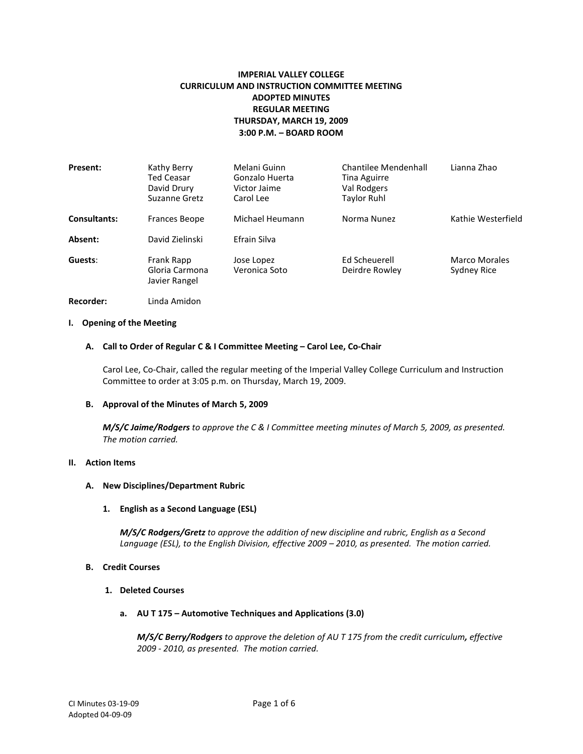# **IMPERIAL VALLEY COLLEGE CURRICULUM AND INSTRUCTION COMMITTEE MEETING ADOPTED MINUTES REGULAR MEETING THURSDAY, MARCH 19, 2009 3:00 P.M. – BOARD ROOM**

| Present:            | Kathy Berry<br><b>Ted Ceasar</b><br>David Drury<br>Suzanne Gretz | Melani Guinn<br>Gonzalo Huerta<br>Victor Jaime<br>Carol Lee | <b>Chantilee Mendenhall</b><br>Tina Aguirre<br>Val Rodgers<br>Taylor Ruhl | Lianna Zhao                         |
|---------------------|------------------------------------------------------------------|-------------------------------------------------------------|---------------------------------------------------------------------------|-------------------------------------|
| <b>Consultants:</b> | Frances Beope                                                    | Michael Heumann                                             | Norma Nunez                                                               | Kathie Westerfield                  |
| Absent:             | David Zielinski                                                  | Efrain Silva                                                |                                                                           |                                     |
| Guests:             | Frank Rapp<br>Gloria Carmona<br>Javier Rangel                    | Jose Lopez<br>Veronica Soto                                 | Ed Scheuerell<br>Deirdre Rowley                                           | <b>Marco Morales</b><br>Sydney Rice |

**Recorder:** Linda Amidon

# **I. Opening of the Meeting**

#### **A. Call to Order of Regular C & I Committee Meeting – Carol Lee, Co-Chair**

Carol Lee, Co-Chair, called the regular meeting of the Imperial Valley College Curriculum and Instruction Committee to order at 3:05 p.m. on Thursday, March 19, 2009.

#### **B. Approval of the Minutes of March 5, 2009**

*M/S/C Jaime/Rodgers to approve the C & I Committee meeting minutes of March 5, 2009, as presented. The motion carried.*

## **II. Action Items**

### **A. New Disciplines/Department Rubric**

### **1. English as a Second Language (ESL)**

*M/S/C Rodgers/Gretz to approve the addition of new discipline and rubric, English as a Second Language (ESL), to the English Division, effective 2009 – 2010, as presented. The motion carried.*

#### **B. Credit Courses**

#### **1. Deleted Courses**

**a. AU T 175 – Automotive Techniques and Applications (3.0)**

*M/S/C Berry/Rodgers to approve the deletion of AU T 175 from the credit curriculum, effective 2009 - 2010, as presented. The motion carried.*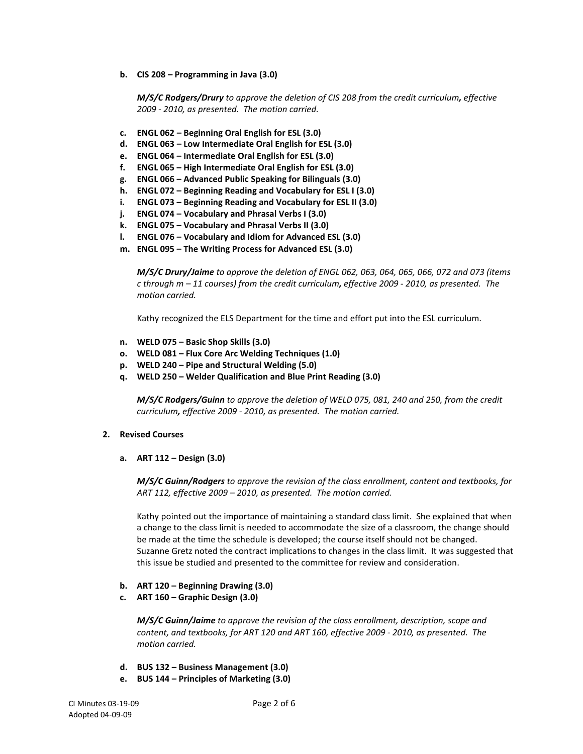**b. CIS 208 – Programming in Java (3.0)**

*M/S/C Rodgers/Drury to approve the deletion of CIS 208 from the credit curriculum, effective 2009 - 2010, as presented. The motion carried.*

- **c. ENGL 062 – Beginning Oral English for ESL (3.0)**
- **d. ENGL 063 – Low Intermediate Oral English for ESL (3.0)**
- **e. ENGL 064 – Intermediate Oral English for ESL (3.0)**
- **f. ENGL 065 – High Intermediate Oral English for ESL (3.0)**
- **g. ENGL 066 – Advanced Public Speaking for Bilinguals (3.0)**
- **h. ENGL 072 – Beginning Reading and Vocabulary for ESL I (3.0)**
- **i. ENGL 073 – Beginning Reading and Vocabulary for ESL II (3.0)**
- **j. ENGL 074 – Vocabulary and Phrasal Verbs I (3.0)**
- **k. ENGL 075 – Vocabulary and Phrasal Verbs II (3.0)**
- **l. ENGL 076 – Vocabulary and Idiom for Advanced ESL (3.0)**
- **m. ENGL 095 – The Writing Process for Advanced ESL (3.0)**

*M/S/C Drury/Jaime to approve the deletion of ENGL 062, 063, 064, 065, 066, 072 and 073 (items c through m – 11 courses) from the credit curriculum, effective 2009 - 2010, as presented. The motion carried.*

Kathy recognized the ELS Department for the time and effort put into the ESL curriculum.

- **n. WELD 075 – Basic Shop Skills (3.0)**
- **o. WELD 081 – Flux Core Arc Welding Techniques (1.0)**
- **p. WELD 240 – Pipe and Structural Welding (5.0)**
- **q. WELD 250 – Welder Qualification and Blue Print Reading (3.0)**

*M/S/C Rodgers/Guinn to approve the deletion of WELD 075, 081, 240 and 250, from the credit curriculum, effective 2009 - 2010, as presented. The motion carried.*

- **2. Revised Courses**
	- **a. ART 112 – Design (3.0)**

*M/S/C Guinn/Rodgers to approve the revision of the class enrollment, content and textbooks, for ART 112, effective 2009 – 2010, as presented. The motion carried.*

Kathy pointed out the importance of maintaining a standard class limit. She explained that when a change to the class limit is needed to accommodate the size of a classroom, the change should be made at the time the schedule is developed; the course itself should not be changed. Suzanne Gretz noted the contract implications to changes in the class limit. It was suggested that this issue be studied and presented to the committee for review and consideration.

- **b. ART 120 – Beginning Drawing (3.0)**
- **c. ART 160 – Graphic Design (3.0)**

*M/S/C Guinn/Jaime to approve the revision of the class enrollment, description, scope and content, and textbooks, for ART 120 and ART 160, effective 2009 - 2010, as presented. The motion carried.*

- **d. BUS 132 – Business Management (3.0)**
- **e. BUS 144 – Principles of Marketing (3.0)**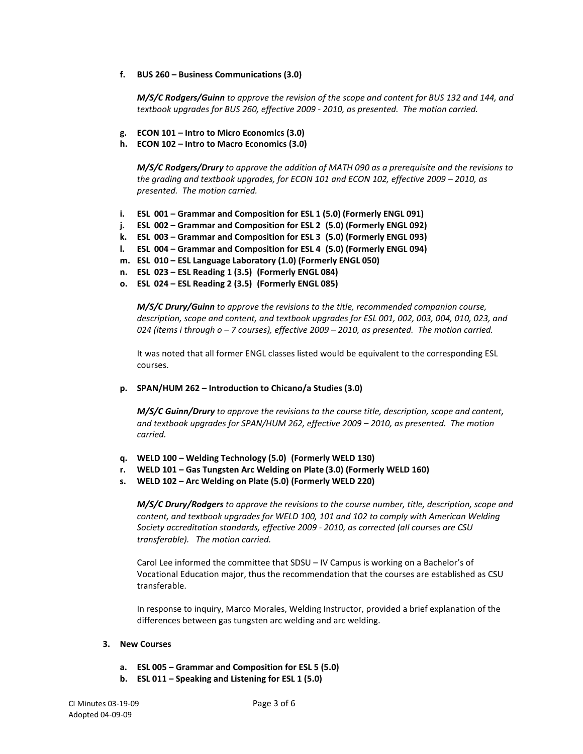**f. BUS 260 – Business Communications (3.0)**

*M/S/C Rodgers/Guinn to approve the revision of the scope and content for BUS 132 and 144, and textbook upgrades for BUS 260, effective 2009 - 2010, as presented. The motion carried.*

- **g. ECON 101 – Intro to Micro Economics (3.0)**
- **h. ECON 102 – Intro to Macro Economics (3.0)**

*M/S/C Rodgers/Drury to approve the addition of MATH 090 as a prerequisite and the revisions to the grading and textbook upgrades, for ECON 101 and ECON 102, effective 2009 – 2010, as presented. The motion carried.*

- **i. ESL 001 – Grammar and Composition for ESL 1 (5.0) (Formerly ENGL 091)**
- **j. ESL 002 – Grammar and Composition for ESL 2 (5.0) (Formerly ENGL 092)**
- **k. ESL 003 – Grammar and Composition for ESL 3 (5.0) (Formerly ENGL 093)**
- **l. ESL 004 – Grammar and Composition for ESL 4 (5.0) (Formerly ENGL 094)**
- **m. ESL 010 – ESL Language Laboratory (1.0) (Formerly ENGL 050)**
- **n. ESL 023 – ESL Reading 1 (3.5) (Formerly ENGL 084)**
- **o. ESL 024 – ESL Reading 2 (3.5) (Formerly ENGL 085)**

*M/S/C Drury/Guinn to approve the revisions to the title, recommended companion course, description, scope and content, and textbook upgrades for ESL 001, 002, 003, 004, 010, 023, and 024 (items i through o – 7 courses), effective 2009 – 2010, as presented. The motion carried.*

It was noted that all former ENGL classes listed would be equivalent to the corresponding ESL courses.

**p. SPAN/HUM 262 – Introduction to Chicano/a Studies (3.0)**

*M/S/C Guinn/Drury to approve the revisions to the course title, description, scope and content, and textbook upgrades for SPAN/HUM 262, effective 2009 – 2010, as presented. The motion carried.* 

- **q. WELD 100 – Welding Technology (5.0) (Formerly WELD 130)**
- **r. WELD 101 – Gas Tungsten Arc Welding on Plate (3.0) (Formerly WELD 160)**
- **s. WELD 102 – Arc Welding on Plate (5.0) (Formerly WELD 220)**

*M/S/C Drury/Rodgers to approve the revisions to the course number, title, description, scope and content, and textbook upgrades for WELD 100, 101 and 102 to comply with American Welding Society accreditation standards, effective 2009 - 2010, as corrected (all courses are CSU transferable). The motion carried.*

Carol Lee informed the committee that SDSU – IV Campus is working on a Bachelor's of Vocational Education major, thus the recommendation that the courses are established as CSU transferable.

In response to inquiry, Marco Morales, Welding Instructor, provided a brief explanation of the differences between gas tungsten arc welding and arc welding.

## **3. New Courses**

- **a. ESL 005 – Grammar and Composition for ESL 5 (5.0)**
- **b. ESL 011 – Speaking and Listening for ESL 1 (5.0)**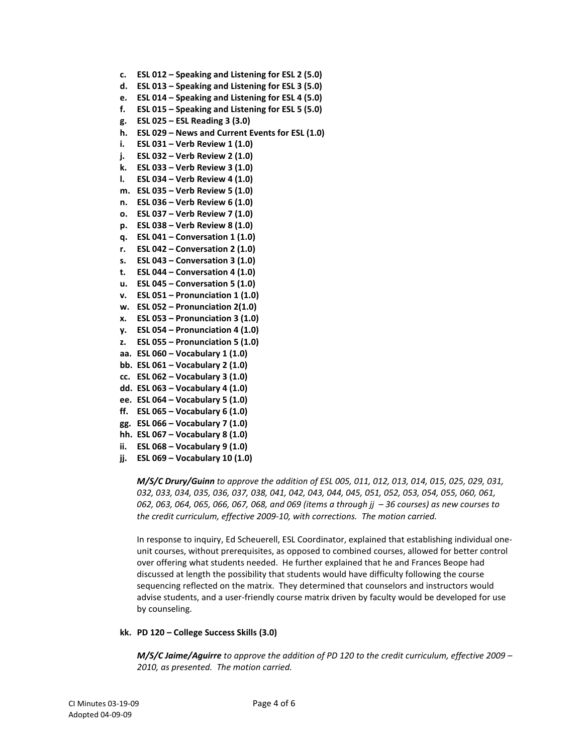- **c. ESL 012 – Speaking and Listening for ESL 2 (5.0)**
- **d. ESL 013 – Speaking and Listening for ESL 3 (5.0)**
- **e. ESL 014 – Speaking and Listening for ESL 4 (5.0)**
- **f. ESL 015 – Speaking and Listening for ESL 5 (5.0)**
- **g. ESL 025 – ESL Reading 3 (3.0)**
- **h. ESL 029 – News and Current Events for ESL (1.0)**
- **i. ESL 031 – Verb Review 1 (1.0)**
- **j. ESL 032 – Verb Review 2 (1.0)**
- **k. ESL 033 – Verb Review 3 (1.0)**
- **l. ESL 034 – Verb Review 4 (1.0)**
- **m. ESL 035 – Verb Review 5 (1.0)**
- **n. ESL 036 – Verb Review 6 (1.0)**
- **o. ESL 037 – Verb Review 7 (1.0)**
- **p. ESL 038 – Verb Review 8 (1.0)**
- **q. ESL 041 – Conversation 1 (1.0)**
- **r. ESL 042 – Conversation 2 (1.0)**
- **s. ESL 043 – Conversation 3 (1.0)**
- **t. ESL 044 – Conversation 4 (1.0)**
- **u. ESL 045 – Conversation 5 (1.0)**
- **v. ESL 051 – Pronunciation 1 (1.0)**
- **w. ESL 052 – Pronunciation 2(1.0)**
- **x. ESL 053 – Pronunciation 3 (1.0)**
- **y. ESL 054 – Pronunciation 4 (1.0)**
- **z. ESL 055 – Pronunciation 5 (1.0)**
- **aa. ESL 060 – Vocabulary 1 (1.0)**
- **bb. ESL 061 – Vocabulary 2 (1.0)**
- **cc. ESL 062 – Vocabulary 3 (1.0)**
- **dd. ESL 063 – Vocabulary 4 (1.0)**
- **ee. ESL 064 – Vocabulary 5 (1.0)**
- **ff. ESL 065 – Vocabulary 6 (1.0)**
- **gg. ESL 066 – Vocabulary 7 (1.0)**
- **hh. ESL 067 – Vocabulary 8 (1.0)**
- **ii. ESL 068 – Vocabulary 9 (1.0)**
- **jj. ESL 069 – Vocabulary 10 (1.0)**

*M/S/C Drury/Guinn to approve the addition of ESL 005, 011, 012, 013, 014, 015, 025, 029, 031, 032, 033, 034, 035, 036, 037, 038, 041, 042, 043, 044, 045, 051, 052, 053, 054, 055, 060, 061, 062, 063, 064, 065, 066, 067, 068, and 069 (items a through jj – 36 courses) as new courses to the credit curriculum, effective 2009-10, with corrections. The motion carried.*

In response to inquiry, Ed Scheuerell, ESL Coordinator, explained that establishing individual oneunit courses, without prerequisites, as opposed to combined courses, allowed for better control over offering what students needed. He further explained that he and Frances Beope had discussed at length the possibility that students would have difficulty following the course sequencing reflected on the matrix. They determined that counselors and instructors would advise students, and a user-friendly course matrix driven by faculty would be developed for use by counseling.

### **kk. PD 120 – College Success Skills (3.0)**

*M/S/C Jaime/Aguirre to approve the addition of PD 120 to the credit curriculum, effective 2009 – 2010, as presented. The motion carried.*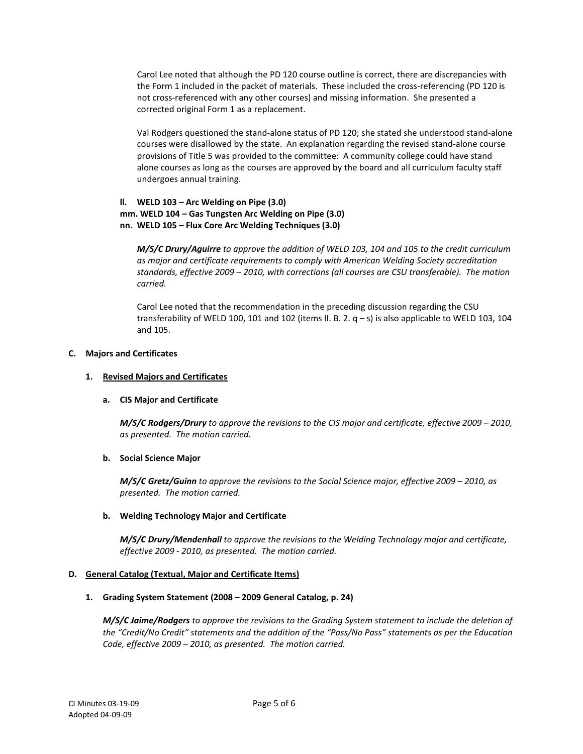Carol Lee noted that although the PD 120 course outline is correct, there are discrepancies with the Form 1 included in the packet of materials. These included the cross-referencing (PD 120 is not cross-referenced with any other courses) and missing information. She presented a corrected original Form 1 as a replacement.

Val Rodgers questioned the stand-alone status of PD 120; she stated she understood stand-alone courses were disallowed by the state. An explanation regarding the revised stand-alone course provisions of Title 5 was provided to the committee: A community college could have stand alone courses as long as the courses are approved by the board and all curriculum faculty staff undergoes annual training.

# **ll. WELD 103 – Arc Welding on Pipe (3.0) mm. WELD 104 – Gas Tungsten Arc Welding on Pipe (3.0) nn. WELD 105 – Flux Core Arc Welding Techniques (3.0)**

*M/S/C Drury/Aguirre to approve the addition of WELD 103, 104 and 105 to the credit curriculum as major and certificate requirements to comply with American Welding Society accreditation standards, effective 2009 – 2010, with corrections (all courses are CSU transferable). The motion carried.*

Carol Lee noted that the recommendation in the preceding discussion regarding the CSU transferability of WELD 100, 101 and 102 (items II. B. 2.  $q - s$ ) is also applicable to WELD 103, 104 and 105.

# **C. Majors and Certificates**

# **1. Revised Majors and Certificates**

## **a. CIS Major and Certificate**

*M/S/C Rodgers/Drury to approve the revisions to the CIS major and certificate, effective 2009 – 2010, as presented. The motion carried.*

# **b. Social Science Major**

*M/S/C Gretz/Guinn to approve the revisions to the Social Science major, effective 2009 – 2010, as presented. The motion carried.*

# **b. Welding Technology Major and Certificate**

*M/S/C Drury/Mendenhall to approve the revisions to the Welding Technology major and certificate, effective 2009 - 2010, as presented. The motion carried.*

## **D. General Catalog (Textual, Major and Certificate Items)**

## **1. Grading System Statement (2008 – 2009 General Catalog, p. 24)**

*M/S/C Jaime/Rodgers to approve the revisions to the Grading System statement to include the deletion of the "Credit/No Credit" statements and the addition of the "Pass/No Pass" statements as per the Education Code, effective 2009 – 2010, as presented. The motion carried.*